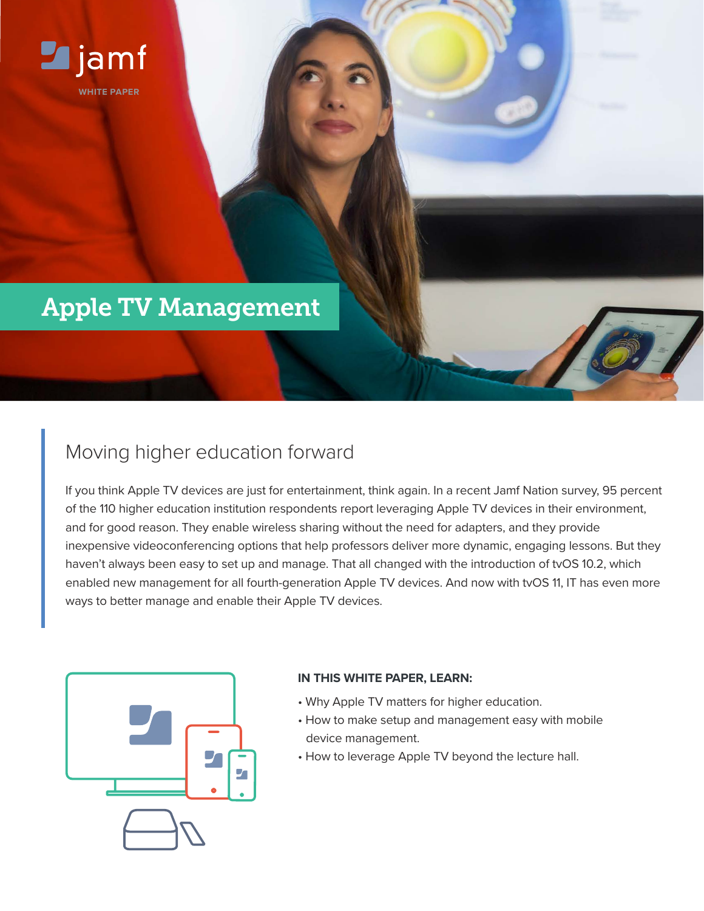

# Apple TV Management

## Moving higher education forward

If you think Apple TV devices are just for entertainment, think again. In a recent Jamf Nation survey, 95 percent of the 110 higher education institution respondents report leveraging Apple TV devices in their environment, and for good reason. They enable wireless sharing without the need for adapters, and they provide inexpensive videoconferencing options that help professors deliver more dynamic, engaging lessons. But they haven't always been easy to set up and manage. That all changed with the introduction of tvOS 10.2, which enabled new management for all fourth-generation Apple TV devices. And now with tvOS 11, IT has even more ways to better manage and enable their Apple TV devices.



#### **IN THIS WHITE PAPER, LEARN:**

- Why Apple TV matters for higher education.
- How to make setup and management easy with mobile device management.
- How to leverage Apple TV beyond the lecture hall.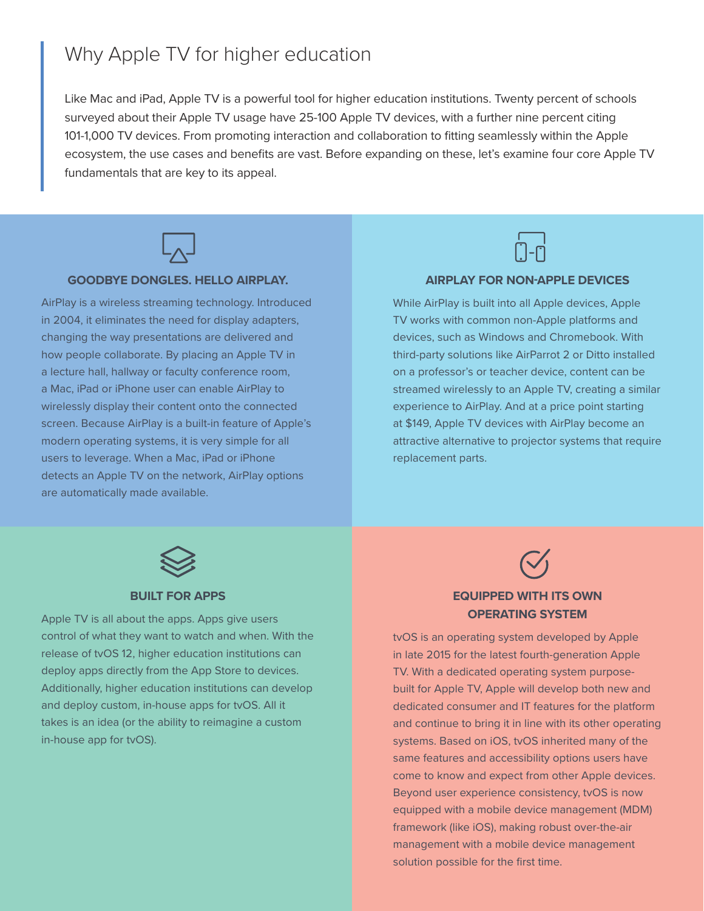### Why Apple TV for higher education

Like Mac and iPad, Apple TV is a powerful tool for higher education institutions. Twenty percent of schools surveyed about their Apple TV usage have 25-100 Apple TV devices, with a further nine percent citing 101-1,000 TV devices. From promoting interaction and collaboration to fitting seamlessly within the Apple ecosystem, the use cases and benefits are vast. Before expanding on these, let's examine four core Apple TV fundamentals that are key to its appeal.



#### **GOODBYE DONGLES. HELLO AIRPLAY.**

AirPlay is a wireless streaming technology. Introduced in 2004, it eliminates the need for display adapters, changing the way presentations are delivered and how people collaborate. By placing an Apple TV in a lecture hall, hallway or faculty conference room, a Mac, iPad or iPhone user can enable AirPlay to wirelessly display their content onto the connected screen. Because AirPlay is a built-in feature of Apple's modern operating systems, it is very simple for all users to leverage. When a Mac, iPad or iPhone detects an Apple TV on the network, AirPlay options are automatically made available.

#### **AIRPLAY FOR NON-APPLE DEVICES**

While AirPlay is built into all Apple devices, Apple TV works with common non-Apple platforms and devices, such as Windows and Chromebook. With third-party solutions like AirParrot 2 or Ditto installed on a professor's or teacher device, content can be streamed wirelessly to an Apple TV, creating a similar experience to AirPlay. And at a price point starting at \$149, Apple TV devices with AirPlay become an attractive alternative to projector systems that require replacement parts.



#### **BUILT FOR APPS**

Apple TV is all about the apps. Apps give users control of what they want to watch and when. With the release of tvOS 12, higher education institutions can deploy apps directly from the App Store to devices. Additionally, higher education institutions can develop and deploy custom, in-house apps for tvOS. All it takes is an idea (or the ability to reimagine a custom in-house app for tvOS).



### **EQUIPPED WITH ITS OWN OPERATING SYSTEM**

tvOS is an operating system developed by Apple in late 2015 for the latest fourth-generation Apple TV. With a dedicated operating system purposebuilt for Apple TV, Apple will develop both new and dedicated consumer and IT features for the platform and continue to bring it in line with its other operating systems. Based on iOS, tvOS inherited many of the same features and accessibility options users have come to know and expect from other Apple devices. Beyond user experience consistency, tvOS is now equipped with a mobile device management (MDM) framework (like iOS), making robust over-the-air management with a mobile device management solution possible for the first time.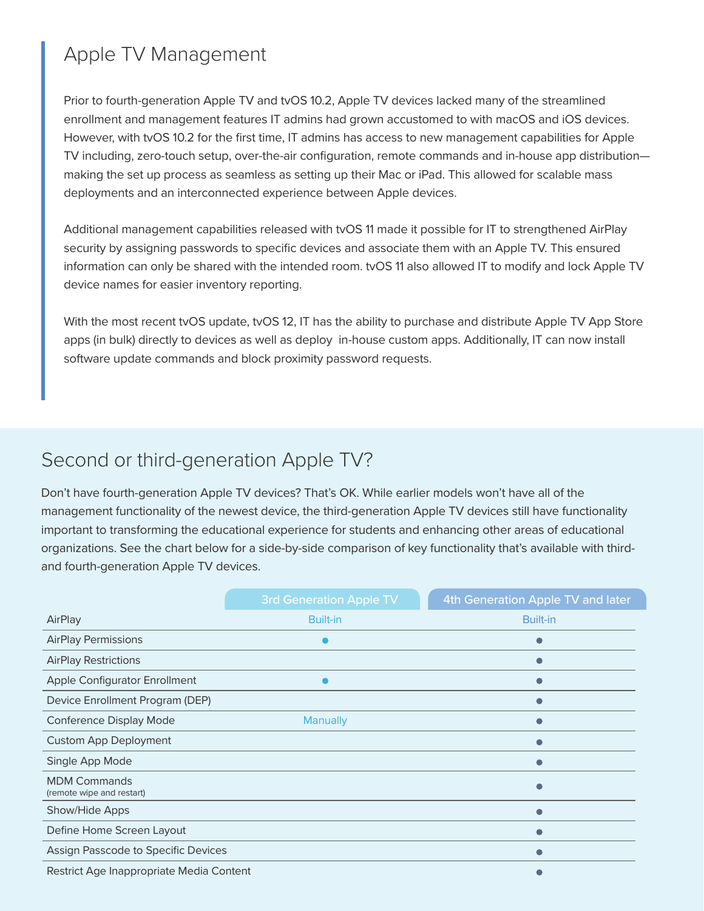## Apple TV Management

Prior to fourth-generation Apple TV and tvOS 10.2, Apple TV devices lacked many of the streamlined enrollment and management features IT admins had grown accustomed to with macOS and iOS devices. However, with tvOS 10.2 for the first time, IT admins has access to new management capabilities for Apple TV including, zero-touch setup, over-the-air configuration, remote commands and in-house app distribution making the set up process as seamless as setting up their Mac or iPad. This allowed for scalable mass deployments and an interconnected experience between Apple devices.

Additional management capabilities released with tvOS 11 made it possible for IT to strengthened AirPlay security by assigning passwords to specific devices and associate them with an Apple TV. This ensured information can only be shared with the intended room. tvOS 11 also allowed IT to modify and lock Apple TV device names for easier inventory reporting.

With the most recent tvOS update, tvOS 12, IT has the ability to purchase and distribute Apple TV App Store apps (in bulk) directly to devices as well as deploy in-house custom apps. Additionally, IT can now install software update commands and block proximity password requests.

### Second or third-generation Apple TV?

Don't have fourth-generation Apple TV devices? That's OK. While earlier models won't have all of the management functionality of the newest device, the third-generation Apple TV devices still have functionality important to transforming the educational experience for students and enhancing other areas of educational organizations. See the chart below for a side-by-side comparison of key functionality that's available with thirdand fourth-generation Apple TV devices.

|                                                  | <b>3rd Generation Apple TV</b> | 4th Generation Apple TV and later |
|--------------------------------------------------|--------------------------------|-----------------------------------|
| AirPlay                                          | <b>Built-in</b>                | Built-in                          |
| <b>AirPlay Permissions</b>                       |                                |                                   |
| <b>AirPlay Restrictions</b>                      |                                |                                   |
| <b>Apple Configurator Enrollment</b>             |                                |                                   |
| Device Enrollment Program (DEP)                  |                                |                                   |
| Conference Display Mode                          | <b>Manually</b>                |                                   |
| <b>Custom App Deployment</b>                     |                                |                                   |
| Single App Mode                                  |                                |                                   |
| <b>MDM Commands</b><br>(remote wipe and restart) |                                |                                   |
| Show/Hide Apps                                   |                                |                                   |
| Define Home Screen Layout                        |                                |                                   |
| Assign Passcode to Specific Devices              |                                |                                   |
| Restrict Age Inappropriate Media Content         |                                |                                   |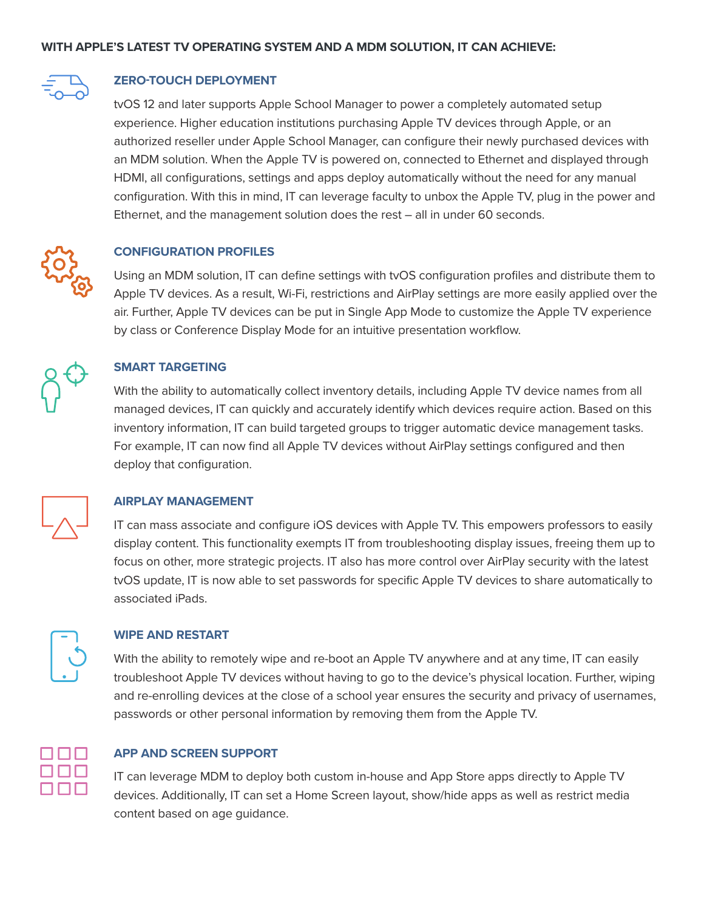#### **WITH APPLE'S LATEST TV OPERATING SYSTEM AND A MDM SOLUTION, IT CAN ACHIEVE:**



#### **ZERO-TOUCH DEPLOYMENT**

tvOS 12 and later supports Apple School Manager to power a completely automated setup experience. Higher education institutions purchasing Apple TV devices through Apple, or an authorized reseller under Apple School Manager, can configure their newly purchased devices with an MDM solution. When the Apple TV is powered on, connected to Ethernet and displayed through HDMI, all configurations, settings and apps deploy automatically without the need for any manual configuration. With this in mind, IT can leverage faculty to unbox the Apple TV, plug in the power and Ethernet, and the management solution does the rest – all in under 60 seconds.



#### **CONFIGURATION PROFILES**

Using an MDM solution, IT can define settings with tvOS configuration profiles and distribute them to Apple TV devices. As a result, Wi-Fi, restrictions and AirPlay settings are more easily applied over the air. Further, Apple TV devices can be put in Single App Mode to customize the Apple TV experience by class or Conference Display Mode for an intuitive presentation workflow.



#### **SMART TARGETING**

With the ability to automatically collect inventory details, including Apple TV device names from all managed devices, IT can quickly and accurately identify which devices require action. Based on this inventory information, IT can build targeted groups to trigger automatic device management tasks. For example, IT can now find all Apple TV devices without AirPlay settings configured and then deploy that configuration.



#### **AIRPLAY MANAGEMENT**

IT can mass associate and configure iOS devices with Apple TV. This empowers professors to easily display content. This functionality exempts IT from troubleshooting display issues, freeing them up to focus on other, more strategic projects. IT also has more control over AirPlay security with the latest tvOS update, IT is now able to set passwords for specific Apple TV devices to share automatically to associated iPads.



#### **WIPE AND RESTART**

With the ability to remotely wipe and re-boot an Apple TV anywhere and at any time, IT can easily troubleshoot Apple TV devices without having to go to the device's physical location. Further, wiping and re-enrolling devices at the close of a school year ensures the security and privacy of usernames, passwords or other personal information by removing them from the Apple TV.



#### **APP AND SCREEN SUPPORT**

IT can leverage MDM to deploy both custom in-house and App Store apps directly to Apple TV devices. Additionally, IT can set a Home Screen layout, show/hide apps as well as restrict media content based on age guidance.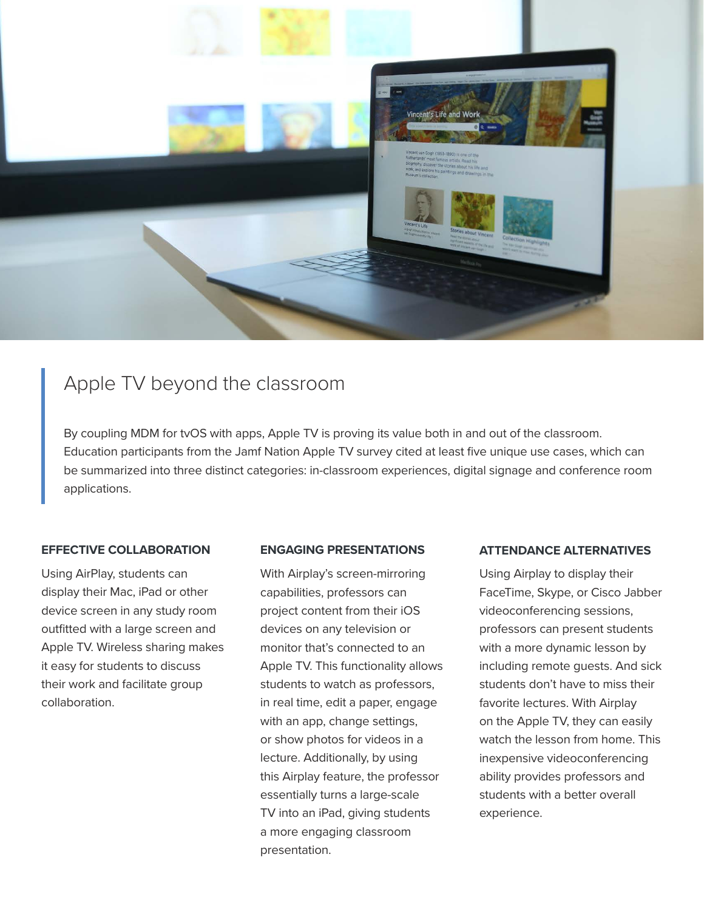

### Apple TV beyond the classroom

By coupling MDM for tvOS with apps, Apple TV is proving its value both in and out of the classroom. Education participants from the Jamf Nation Apple TV survey cited at least five unique use cases, which can be summarized into three distinct categories: in-classroom experiences, digital signage and conference room applications.

#### **EFFECTIVE COLLABORATION**

Using AirPlay, students can display their Mac, iPad or other device screen in any study room outfitted with a large screen and Apple TV. Wireless sharing makes it easy for students to discuss their work and facilitate group collaboration.

#### **ENGAGING PRESENTATIONS**

With Airplay's screen-mirroring capabilities, professors can project content from their iOS devices on any television or monitor that's connected to an Apple TV. This functionality allows students to watch as professors, in real time, edit a paper, engage with an app, change settings, or show photos for videos in a lecture. Additionally, by using this Airplay feature, the professor essentially turns a large-scale TV into an iPad, giving students a more engaging classroom presentation.

#### **ATTENDANCE ALTERNATIVES**

Using Airplay to display their FaceTime, Skype, or Cisco Jabber videoconferencing sessions, professors can present students with a more dynamic lesson by including remote guests. And sick students don't have to miss their favorite lectures. With Airplay on the Apple TV, they can easily watch the lesson from home. This inexpensive videoconferencing ability provides professors and students with a better overall experience.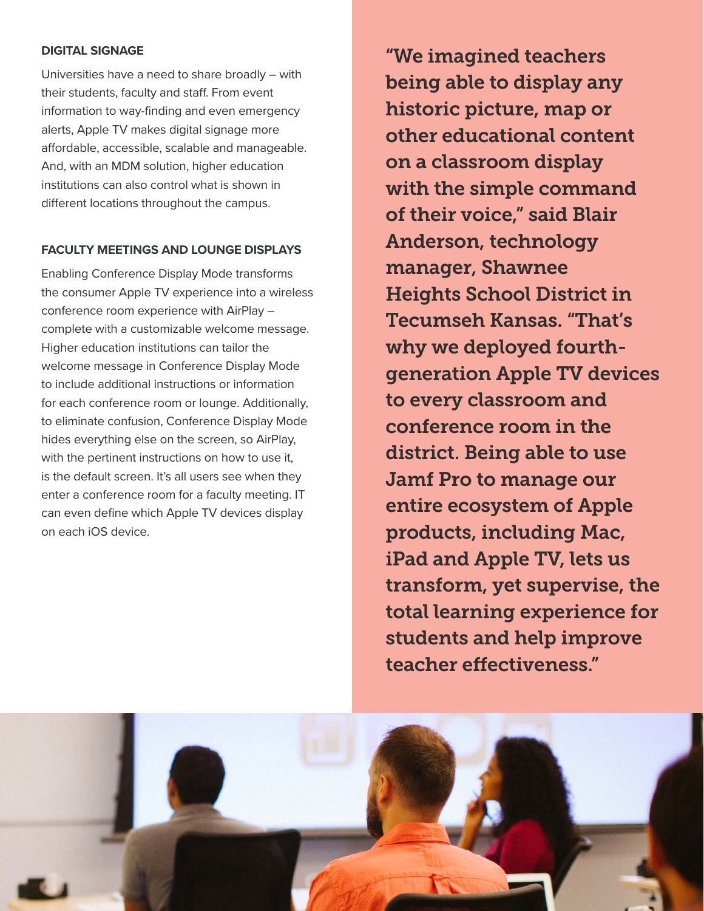#### **DIGITAL SIGNAGE**

Universities have a need to share broadly – with their students, faculty and staff. From event information to way-finding and even emergency alerts, Apple TV makes digital signage more affordable, accessible, scalable and manageable. And, with an MDM solution, higher education institutions can also control what is shown in different locations throughout the campus.

#### **FACULTY MEETINGS AND LOUNGE DISPLAYS**

Enabling Conference Display Mode transforms the consumer Apple TV experience into a wireless conference room experience with AirPlay – complete with a customizable welcome message. Higher education institutions can tailor the welcome message in Conference Display Mode to include additional instructions or information for each conference room or lounge. Additionally, to eliminate confusion, Conference Display Mode hides everything else on the screen, so AirPlay, with the pertinent instructions on how to use it, is the default screen. It's all users see when they enter a conference room for a faculty meeting. IT can even define which Apple TV devices display on each iOS device.

"We imagined teachers being able to display any historic picture, map or other educational content on a classroom display with the simple command of their voice," said Blair Anderson, technology manager, Shawnee Heights School District in Tecumseh Kansas. "That's why we deployed fourthgeneration Apple TV devices to every classroom and conference room in the district. Being able to use Jamf Pro to manage our entire ecosystem of Apple products, including Mac, iPad and Apple TV, lets us transform, yet supervise, the total learning experience for students and help improve teacher effectiveness."